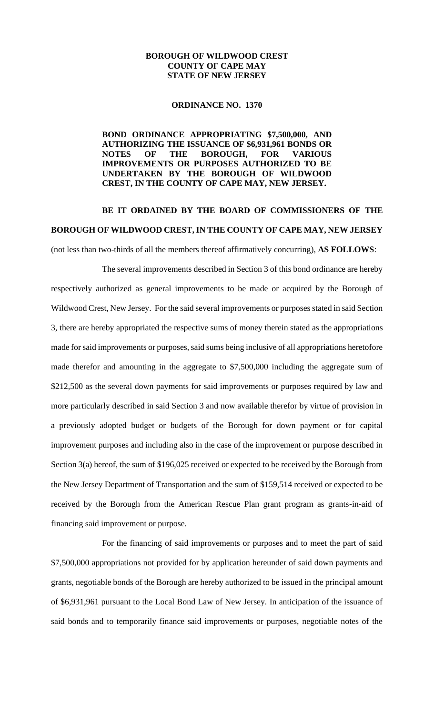## **BOROUGH OF WILDWOOD CREST COUNTY OF CAPE MAY STATE OF NEW JERSEY**

## **ORDINANCE NO. 1370**

## **BOND ORDINANCE APPROPRIATING \$7,500,000, AND AUTHORIZING THE ISSUANCE OF \$6,931,961 BONDS OR NOTES OF THE BOROUGH, FOR VARIOUS IMPROVEMENTS OR PURPOSES AUTHORIZED TO BE UNDERTAKEN BY THE BOROUGH OF WILDWOOD CREST, IN THE COUNTY OF CAPE MAY, NEW JERSEY.**

## **BE IT ORDAINED BY THE BOARD OF COMMISSIONERS OF THE BOROUGH OF WILDWOOD CREST, IN THE COUNTY OF CAPE MAY, NEW JERSEY**

(not less than two-thirds of all the members thereof affirmatively concurring), **AS FOLLOWS**:

The several improvements described in Section 3 of this bond ordinance are hereby respectively authorized as general improvements to be made or acquired by the Borough of Wildwood Crest, New Jersey. For the said several improvements or purposes stated in said Section 3, there are hereby appropriated the respective sums of money therein stated as the appropriations made for said improvements or purposes, said sums being inclusive of all appropriations heretofore made therefor and amounting in the aggregate to \$7,500,000 including the aggregate sum of \$212,500 as the several down payments for said improvements or purposes required by law and more particularly described in said Section 3 and now available therefor by virtue of provision in a previously adopted budget or budgets of the Borough for down payment or for capital improvement purposes and including also in the case of the improvement or purpose described in Section 3(a) hereof, the sum of \$196,025 received or expected to be received by the Borough from the New Jersey Department of Transportation and the sum of \$159,514 received or expected to be received by the Borough from the American Rescue Plan grant program as grants-in-aid of financing said improvement or purpose.

For the financing of said improvements or purposes and to meet the part of said \$7,500,000 appropriations not provided for by application hereunder of said down payments and grants, negotiable bonds of the Borough are hereby authorized to be issued in the principal amount of \$6,931,961 pursuant to the Local Bond Law of New Jersey. In anticipation of the issuance of said bonds and to temporarily finance said improvements or purposes, negotiable notes of the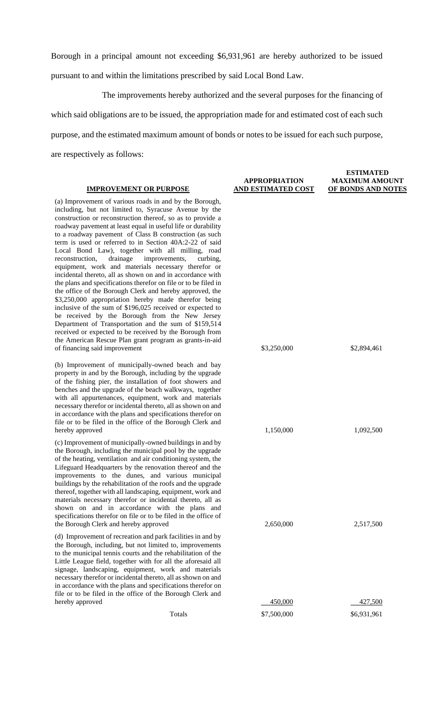Borough in a principal amount not exceeding \$6,931,961 are hereby authorized to be issued pursuant to and within the limitations prescribed by said Local Bond Law.

The improvements hereby authorized and the several purposes for the financing of which said obligations are to be issued, the appropriation made for and estimated cost of each such purpose, and the estimated maximum amount of bonds or notes to be issued for each such purpose, are respectively as follows:

| <b>IMPROVEMENT OR PURPOSE</b>                                                                                                                                                                                                                                                                                                                                                                                                                                                                                                                                                                                                                                                                                                                                                                                                                                                                                                                                                                                                                                                                                                  | <b>APPROPRIATION</b><br><b>AND ESTIMATED COST</b> | <b>ESTIMATED</b><br><b>MAXIMUM AMOUNT</b><br><b>OF BONDS AND NOTES</b> |
|--------------------------------------------------------------------------------------------------------------------------------------------------------------------------------------------------------------------------------------------------------------------------------------------------------------------------------------------------------------------------------------------------------------------------------------------------------------------------------------------------------------------------------------------------------------------------------------------------------------------------------------------------------------------------------------------------------------------------------------------------------------------------------------------------------------------------------------------------------------------------------------------------------------------------------------------------------------------------------------------------------------------------------------------------------------------------------------------------------------------------------|---------------------------------------------------|------------------------------------------------------------------------|
| (a) Improvement of various roads in and by the Borough,<br>including, but not limited to, Syracuse Avenue by the<br>construction or reconstruction thereof, so as to provide a<br>roadway pavement at least equal in useful life or durability<br>to a roadway pavement of Class B construction (as such<br>term is used or referred to in Section 40A:2-22 of said<br>Local Bond Law), together with all milling, road<br>drainage<br>improvements,<br>curbing,<br>reconstruction,<br>equipment, work and materials necessary therefor or<br>incidental thereto, all as shown on and in accordance with<br>the plans and specifications therefor on file or to be filed in<br>the office of the Borough Clerk and hereby approved, the<br>\$3,250,000 appropriation hereby made therefor being<br>inclusive of the sum of \$196,025 received or expected to<br>be received by the Borough from the New Jersey<br>Department of Transportation and the sum of \$159,514<br>received or expected to be received by the Borough from<br>the American Rescue Plan grant program as grants-in-aid<br>of financing said improvement | \$3,250,000                                       | \$2,894,461                                                            |
| (b) Improvement of municipally-owned beach and bay<br>property in and by the Borough, including by the upgrade<br>of the fishing pier, the installation of foot showers and<br>benches and the upgrade of the beach walkways, together<br>with all appurtenances, equipment, work and materials<br>necessary therefor or incidental thereto, all as shown on and<br>in accordance with the plans and specifications therefor on<br>file or to be filed in the office of the Borough Clerk and<br>hereby approved                                                                                                                                                                                                                                                                                                                                                                                                                                                                                                                                                                                                               | 1,150,000                                         | 1,092,500                                                              |
| (c) Improvement of municipally-owned buildings in and by<br>the Borough, including the municipal pool by the upgrade<br>of the heating, ventilation and air conditioning system, the<br>Lifeguard Headquarters by the renovation thereof and the<br>improvements to the dunes, and various municipal<br>buildings by the rehabilitation of the roofs and the upgrade<br>thereof, together with all landscaping, equipment, work and<br>materials necessary therefor or incidental thereto, all as<br>shown on and in accordance with the plans and<br>specifications therefor on file or to be filed in the office of<br>the Borough Clerk and hereby approved                                                                                                                                                                                                                                                                                                                                                                                                                                                                 | 2,650,000                                         | 2,517,500                                                              |
| (d) Improvement of recreation and park facilities in and by<br>the Borough, including, but not limited to, improvements<br>to the municipal tennis courts and the rehabilitation of the<br>Little League field, together with for all the aforesaid all<br>signage, landscaping, equipment, work and materials<br>necessary therefor or incidental thereto, all as shown on and<br>in accordance with the plans and specifications therefor on<br>file or to be filed in the office of the Borough Clerk and<br>hereby approved                                                                                                                                                                                                                                                                                                                                                                                                                                                                                                                                                                                                | 450,000                                           | 427,500                                                                |
| Totals                                                                                                                                                                                                                                                                                                                                                                                                                                                                                                                                                                                                                                                                                                                                                                                                                                                                                                                                                                                                                                                                                                                         | \$7,500,000                                       | \$6,931,961                                                            |
|                                                                                                                                                                                                                                                                                                                                                                                                                                                                                                                                                                                                                                                                                                                                                                                                                                                                                                                                                                                                                                                                                                                                |                                                   |                                                                        |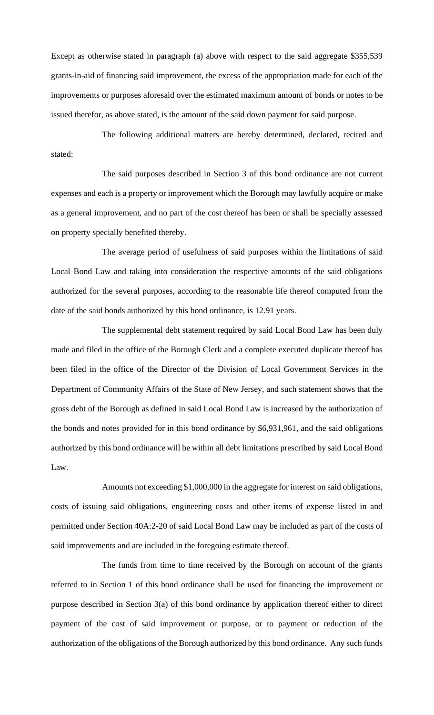Except as otherwise stated in paragraph (a) above with respect to the said aggregate \$355,539 grants-in-aid of financing said improvement, the excess of the appropriation made for each of the improvements or purposes aforesaid over the estimated maximum amount of bonds or notes to be issued therefor, as above stated, is the amount of the said down payment for said purpose.

The following additional matters are hereby determined, declared, recited and stated:

The said purposes described in Section 3 of this bond ordinance are not current expenses and each is a property or improvement which the Borough may lawfully acquire or make as a general improvement, and no part of the cost thereof has been or shall be specially assessed on property specially benefited thereby.

The average period of usefulness of said purposes within the limitations of said Local Bond Law and taking into consideration the respective amounts of the said obligations authorized for the several purposes, according to the reasonable life thereof computed from the date of the said bonds authorized by this bond ordinance, is 12.91 years.

The supplemental debt statement required by said Local Bond Law has been duly made and filed in the office of the Borough Clerk and a complete executed duplicate thereof has been filed in the office of the Director of the Division of Local Government Services in the Department of Community Affairs of the State of New Jersey, and such statement shows that the gross debt of the Borough as defined in said Local Bond Law is increased by the authorization of the bonds and notes provided for in this bond ordinance by \$6,931,961, and the said obligations authorized by this bond ordinance will be within all debt limitations prescribed by said Local Bond Law.

Amounts not exceeding \$1,000,000 in the aggregate for interest on said obligations, costs of issuing said obligations, engineering costs and other items of expense listed in and permitted under Section 40A:2-20 of said Local Bond Law may be included as part of the costs of said improvements and are included in the foregoing estimate thereof.

The funds from time to time received by the Borough on account of the grants referred to in Section 1 of this bond ordinance shall be used for financing the improvement or purpose described in Section 3(a) of this bond ordinance by application thereof either to direct payment of the cost of said improvement or purpose, or to payment or reduction of the authorization of the obligations of the Borough authorized by this bond ordinance. Any such funds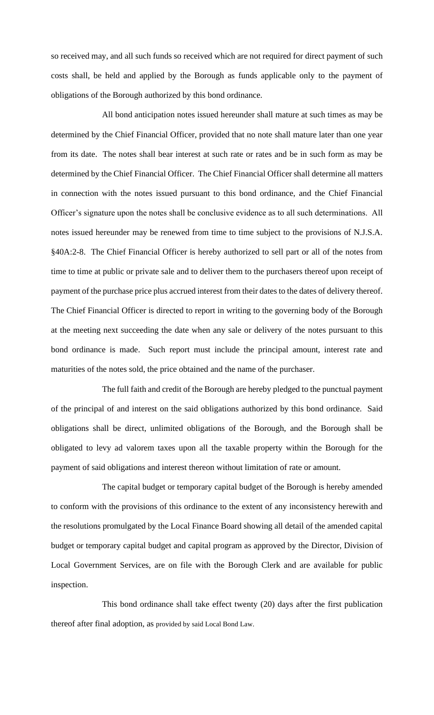so received may, and all such funds so received which are not required for direct payment of such costs shall, be held and applied by the Borough as funds applicable only to the payment of obligations of the Borough authorized by this bond ordinance.

All bond anticipation notes issued hereunder shall mature at such times as may be determined by the Chief Financial Officer, provided that no note shall mature later than one year from its date. The notes shall bear interest at such rate or rates and be in such form as may be determined by the Chief Financial Officer. The Chief Financial Officer shall determine all matters in connection with the notes issued pursuant to this bond ordinance, and the Chief Financial Officer's signature upon the notes shall be conclusive evidence as to all such determinations. All notes issued hereunder may be renewed from time to time subject to the provisions of N.J.S.A. §40A:2-8. The Chief Financial Officer is hereby authorized to sell part or all of the notes from time to time at public or private sale and to deliver them to the purchasers thereof upon receipt of payment of the purchase price plus accrued interest from their dates to the dates of delivery thereof. The Chief Financial Officer is directed to report in writing to the governing body of the Borough at the meeting next succeeding the date when any sale or delivery of the notes pursuant to this bond ordinance is made. Such report must include the principal amount, interest rate and maturities of the notes sold, the price obtained and the name of the purchaser.

The full faith and credit of the Borough are hereby pledged to the punctual payment of the principal of and interest on the said obligations authorized by this bond ordinance. Said obligations shall be direct, unlimited obligations of the Borough, and the Borough shall be obligated to levy ad valorem taxes upon all the taxable property within the Borough for the payment of said obligations and interest thereon without limitation of rate or amount.

The capital budget or temporary capital budget of the Borough is hereby amended to conform with the provisions of this ordinance to the extent of any inconsistency herewith and the resolutions promulgated by the Local Finance Board showing all detail of the amended capital budget or temporary capital budget and capital program as approved by the Director, Division of Local Government Services, are on file with the Borough Clerk and are available for public inspection.

This bond ordinance shall take effect twenty (20) days after the first publication thereof after final adoption, as provided by said Local Bond Law.